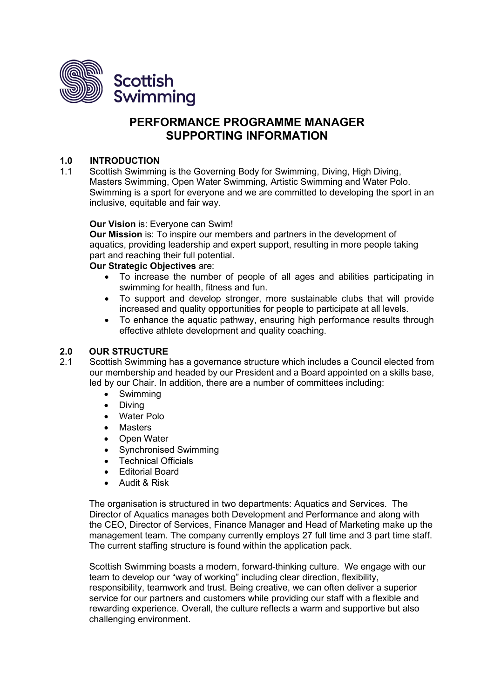

# **PERFORMANCE PROGRAMME MANAGER SUPPORTING INFORMATION**

# **1.0 INTRODUCTION**

1.1 Scottish Swimming is the Governing Body for Swimming, Diving, High Diving, Masters Swimming, Open Water Swimming, Artistic Swimming and Water Polo. Swimming is a sport for everyone and we are committed to developing the sport in an inclusive, equitable and fair way.

#### **Our Vision** is: Everyone can Swim!

**Our Mission** is: To inspire our members and partners in the development of aquatics, providing leadership and expert support, resulting in more people taking part and reaching their full potential.

#### **Our Strategic Objectives** are:

- To increase the number of people of all ages and abilities participating in swimming for health, fitness and fun.
- To support and develop stronger, more sustainable clubs that will provide increased and quality opportunities for people to participate at all levels.
- To enhance the aquatic pathway, ensuring high performance results through effective athlete development and quality coaching.

# **2.0 OUR STRUCTURE**

- Scottish Swimming has a governance structure which includes a Council elected from our membership and headed by our President and a Board appointed on a skills base, led by our Chair. In addition, there are a number of committees including:
	- Swimming
	- Diving
	- Water Polo
	- **Masters**
	- Open Water
	- Synchronised Swimming
	- Technical Officials
	- Editorial Board
	- Audit & Risk

The organisation is structured in two departments: Aquatics and Services. The Director of Aquatics manages both Development and Performance and along with the CEO, Director of Services, Finance Manager and Head of Marketing make up the management team. The company currently employs 27 full time and 3 part time staff. The current staffing structure is found within the application pack.

Scottish Swimming boasts a modern, forward-thinking culture. We engage with our team to develop our "way of working" including clear direction, flexibility, responsibility, teamwork and trust. Being creative, we can often deliver a superior service for our partners and customers while providing our staff with a flexible and rewarding experience. Overall, the culture reflects a warm and supportive but also challenging environment.